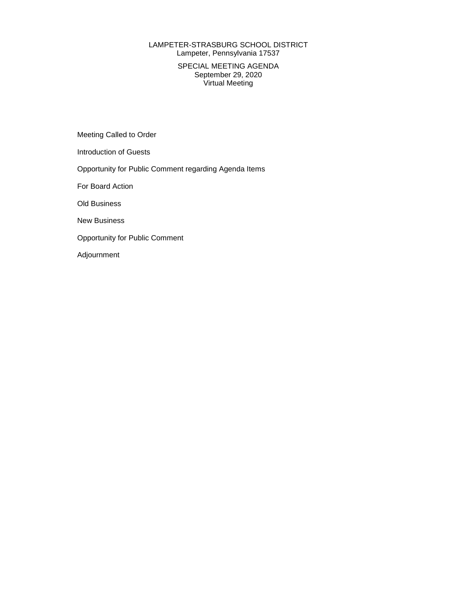### LAMPETER-STRASBURG SCHOOL DISTRICT Lampeter, Pennsylvania 17537

### SPECIAL MEETING AGENDA September 29, 2020 Virtual Meeting

Meeting Called to Order

Introduction of Guests

Opportunity for Public Comment regarding Agenda Items

For Board Action

Old Business

New Business

Opportunity for Public Comment

Adjournment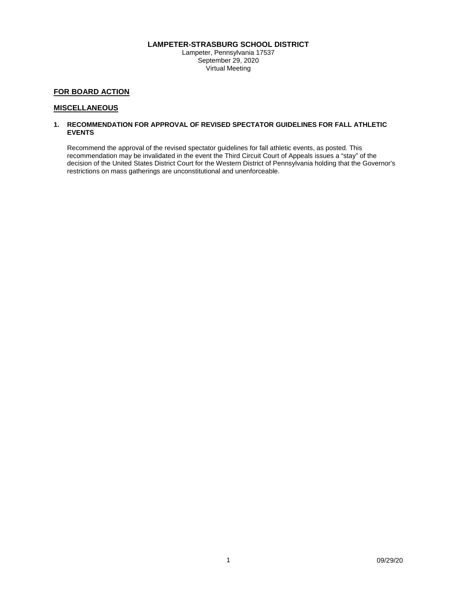### **LAMPETER-STRASBURG SCHOOL DISTRICT**

Lampeter, Pennsylvania 17537 September 29, 2020 Virtual Meeting

### **FOR BOARD ACTION**

#### **MISCELLANEOUS**

#### **1. RECOMMENDATION FOR APPROVAL OF REVISED SPECTATOR GUIDELINES FOR FALL ATHLETIC EVENTS**

Recommend the approval of the revised spectator guidelines for fall athletic events, as posted. This recommendation may be invalidated in the event the Third Circuit Court of Appeals issues a "stay" of the decision of the United States District Court for the Western District of Pennsylvania holding that the Governor's restrictions on mass gatherings are unconstitutional and unenforceable.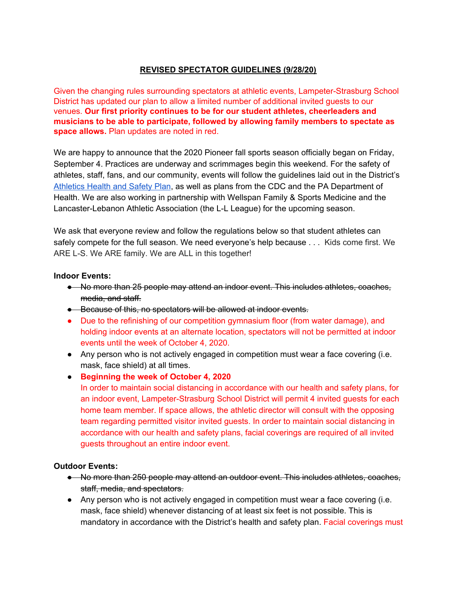## **REVISED SPECTATOR GUIDELINES (9/28/20)**

Given the changing rules surrounding spectators at athletic events, Lampeter-Strasburg School District has updated our plan to allow a limited number of additional invited guests to our venues. **Our first priority continues to be for our student athletes, cheerleaders and musicians to be able to participate, followed by allowing family members to spectate as space allows.** Plan updates are noted in red.

We are happy to announce that the 2020 Pioneer fall sports season officially began on Friday, September 4. Practices are underway and scrimmages begin this weekend. For the safety of athletes, staff, fans, and our community, events will follow the guidelines laid out in the District's [Athletics](https://www.l-spioneers.org/Resources/Athletics_Health_and_Safety_Plan_approved080320.pdf) Health and Safety Plan, as well as plans from the CDC and the PA Department of Health. We are also working in partnership with Wellspan Family & Sports Medicine and the Lancaster-Lebanon Athletic Association (the L-L League) for the upcoming season.

We ask that everyone review and follow the regulations below so that student athletes can safely compete for the full season. We need everyone's help because . . . Kids come first. We ARE L-S. We ARE family. We are ALL in this together!

## **Indoor Events:**

- No more than 25 people may attend an indoor event. This includes athletes, coaches, media, and staff.
- Because of this, no spectators will be allowed at indoor events.
- Due to the refinishing of our competition gymnasium floor (from water damage), and holding indoor events at an alternate location, spectators will not be permitted at indoor events until the week of October 4, 2020.
- Any person who is not actively engaged in competition must wear a face covering (i.e. mask, face shield) at all times.
- **Beginning the week of October 4, 2020**

In order to maintain social distancing in accordance with our health and safety plans, for an indoor event, Lampeter-Strasburg School District will permit 4 invited guests for each home team member. If space allows, the athletic director will consult with the opposing team regarding permitted visitor invited guests. In order to maintain social distancing in accordance with our health and safety plans, facial coverings are required of all invited guests throughout an entire indoor event.

## **Outdoor Events:**

- No more than 250 people may attend an outdoor event. This includes athletes, coaches, staff, media, and spectators.
- Any person who is not actively engaged in competition must wear a face covering (i.e. mask, face shield) whenever distancing of at least six feet is not possible. This is mandatory in accordance with the District's health and safety plan. Facial coverings must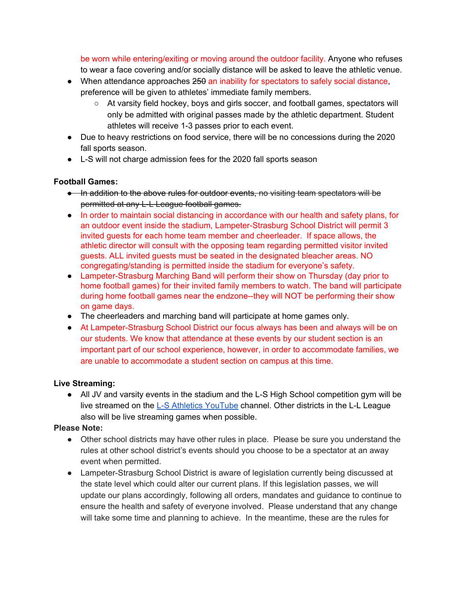be worn while entering/exiting or moving around the outdoor facility. Anyone who refuses to wear a face covering and/or socially distance will be asked to leave the athletic venue.

- When attendance approaches 250 an inability for spectators to safely social distance, preference will be given to athletes' immediate family members.
	- At varsity field hockey, boys and girls soccer, and football games, spectators will only be admitted with original passes made by the athletic department. Student athletes will receive 1-3 passes prior to each event.
- *●* Due to heavy restrictions on food service, there will be no concessions during the 2020 fall sports season.
- L-S will not charge admission fees for the 2020 fall sports season

# **Football Games:**

- In addition to the above rules for outdoor events, no visiting team spectators will be permitted at any L-L League football games.
- In order to maintain social distancing in accordance with our health and safety plans, for an outdoor event inside the stadium, Lampeter-Strasburg School District will permit 3 invited guests for each home team member and cheerleader. If space allows, the athletic director will consult with the opposing team regarding permitted visitor invited guests. ALL invited guests must be seated in the designated bleacher areas. NO congregating/standing is permitted inside the stadium for everyone's safety.
- Lampeter-Strasburg Marching Band will perform their show on Thursday (day prior to home football games) for their invited family members to watch. The band will participate during home football games near the endzone--they will NOT be performing their show on game days.
- The cheerleaders and marching band will participate at home games only.
- At Lampeter-Strasburg School District our focus always has been and always will be on our students. We know that attendance at these events by our student section is an important part of our school experience, however, in order to accommodate families, we are unable to accommodate a student section on campus at this time.

# **Live Streaming:**

● All JV and varsity events in the stadium and the L-S High School competition gym will be live streamed on the L-S Athletics [YouTube](https://www.youtube.com/channel/UCwSdJdf3PiP5KYCzbCF2ZMQ) channel. Other districts in the L-L League also will be live streaming games when possible.

# **Please Note:**

- Other school districts may have other rules in place. Please be sure you understand the rules at other school district's events should you choose to be a spectator at an away event when permitted.
- Lampeter-Strasburg School District is aware of legislation currently being discussed at the state level which could alter our current plans. If this legislation passes, we will update our plans accordingly, following all orders, mandates and guidance to continue to ensure the health and safety of everyone involved. Please understand that any change will take some time and planning to achieve. In the meantime, these are the rules for